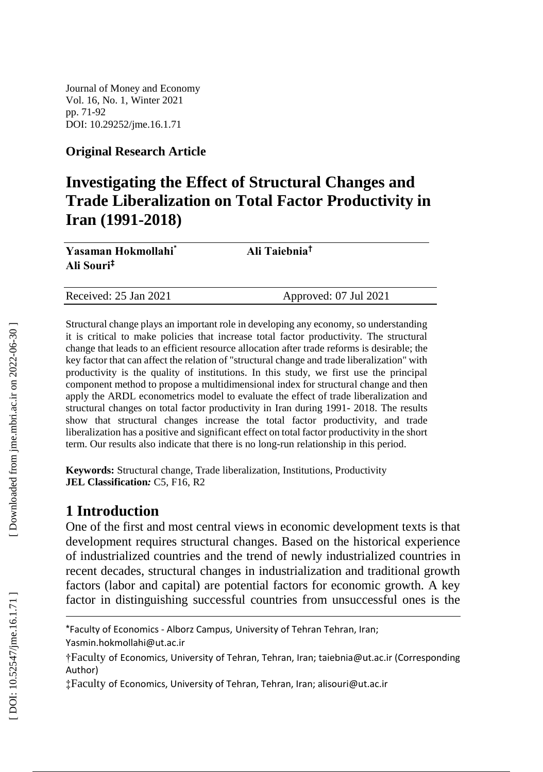Journal of Money and Economy Vol. 1 6, No. 1, Winter 2021 pp. 7 1 - 9 2 DOI: 10.29252/jme.16.1. 7 1

### **Original Research Article**

# **Investigating the Effect of Structural Changes and Trade Liberalization on Total Factor Productivity in Iran (1991 -2018)**

| Yasaman Hokmollahi <sup>*</sup> | Ali Taiebnia <sup>†</sup> |
|---------------------------------|---------------------------|
| Ali Souri <sup>‡</sup>          |                           |
|                                 |                           |

Approved: 07 Jul 2021

Structural change plays an important role in developing any economy, so understanding it is critical to make policies that increase total factor productivity. The structural change that leads to an efficient resource allocation after trade reforms is desirable; the key factor that can affect the relation of "structural change and trade liberalization" with productivity is the quality of institutions. In this study, we first use the principal component method to propose a multidimensional index for structural change and then apply the ARDL econometrics model to evaluate the effect of trade liberalization and structural changes on total factor productivity in Iran during 1991 - 2018. The results show that structural changes increase the total factor productivity, and trade liberalization has a positive and significant effect on total factor productivity in the short term. Our results also indicate that there is no long -run relationship in this period.

**Keywords:** Structural change, Trade liberalization, Institutions, Productivity **JEL Classification***:* C5, F16, R2

# **1 Introduction**

Received: 2

One of the first and most central views in economic development texts is that development requires structural changes. Based on the historical experience of industrialized countries and the trend of newly industrialized countries in recent decades, structural changes in industrialization and traditional growth factors (labor and capital) are potential factors for economic growth. A key factor in distinguishing successful countries from unsuccessful ones is the

l

<sup>\*</sup>Faculty of Economics - Alborz Campus, University of Tehran Tehran, Iran;

Yasmin.hokmollahi@ut.ac.ir

<sup>†</sup>Faculty of Economics, University of Tehran, Tehran, Iran; taiebnia@ut.ac.ir (Corresponding Author)

<sup>‡</sup>Faculty of Economics, University of Tehran, Tehran, Iran; alisouri@ut.ac.ir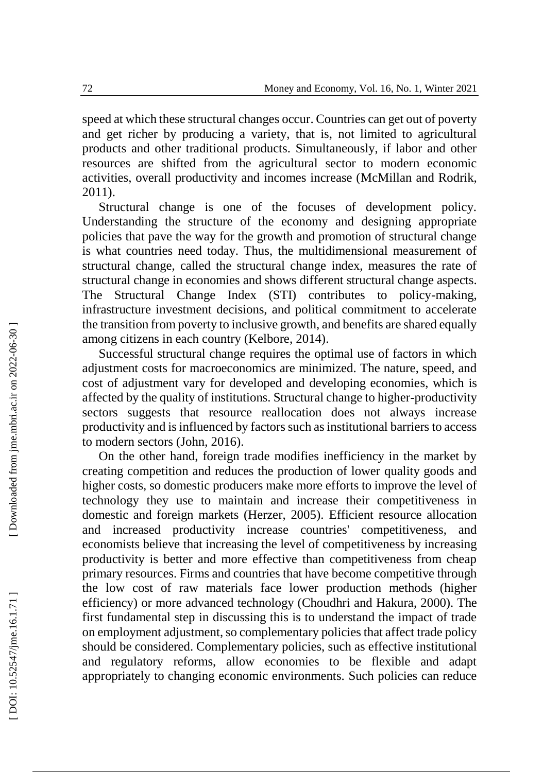speed at which these structural changes occur. Countries can get out of poverty and get richer by producing a variety, that is, not limited to agricultural products and other traditional products. Simultaneously, if labor and other resources are shifted from the agricultural sector to modern economic activities, overall productivity and incomes increase (McMillan and Rodrik, 2011).

Structural change is one of the focuses of development policy. Understanding the structure of the economy and designing appropriate policies that pave the way for the growth and promotion of structural change is what countries need today. Thus, the multidimensional measurement of structural change, called the structural change index, measures the rate of structural change in economies and shows different structural change aspects. The Structural Change Index (STI) contributes to policy -making, infrastructure investment decisions, and political commitment to accelerate the transition from poverty to inclusive growth, and benefits are shared equally among citizens in each country (Kelbore, 2014).

Successful structural change requires the optimal use of factors in which adjustment costs for macroeconomics are minimized. The nature, speed, and cost of adjustment vary for developed and developing economies, which is affected by the quality of institutions. Structural change to higher -productivity sectors suggests that resource reallocation does not always increase productivity and is influenced by factors such as institutional barriers to access to modern sectors (John, 2016).

On the other hand, foreign trade modifies inefficiency in the market by creating competition and reduces the production of lower quality goods and higher costs, so domestic producers make more efforts to improve the level of technology they use to maintain and increase their competitiveness in domestic and foreign markets (Herzer, 2005). Efficient resource allocation and increased productivity increase countries' competitiveness, and economists believe that increasing the level of competitiveness by increasing productivity is better and more effective than competitiveness from cheap primary resources. Firms and countries that have become competitive through the low cost of raw materials face lower production methods (higher efficiency) or more advanced technology (Choudhri and Hakura, 2000). The first fundamental step in discussing this is to understand the impact of trade on employment adjustment, so complementary policies that affect trade policy should be considered. Complementary policies, such as effective institutional and regulatory reforms, allow economies to be flexible and adapt appropriately to changing economic environments. Such policies can reduce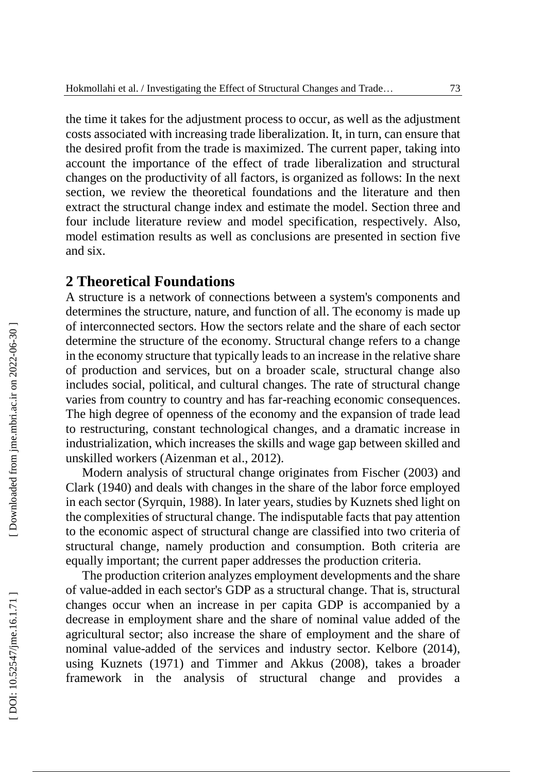the time it takes for the adjustment process to occur, as well as the adjustment costs associated with increasing trade liberalization. It, in turn, can ensure that the desired profit from the trade is maximized. The current paper, taking into account the importance of the effect of trade liberalization and structural changes on the productivity of all factors, is organized as follows: In the next section, we review the theoretical foundations and the literature and then extract the structural change index and estimate the model. Section three and four include literature review and model specification, respectively. Also, model estimation results as well as conclusions are presented in section five and six.

# **2 Theoretical Foundations**

A structure is a network of connections between a system's components and determines the structure, nature, and function of all. The economy is made up of interconnected sectors. How the sectors relate and the share of each sector determine the structure of the economy. Structural change refers to a change in the economy structure that typically leads to an increase in the relative share of production and services, but on a broader scale, structural change also includes social, political, and cultural changes. The rate of structural change varies from country to country and has far -reaching economic consequences. The high degree of openness of the economy and the expansion of trade lead to restructuring, constant technological changes, and a dramatic increase in industrialization, which increases the skills and wage gap between skilled and unskilled workers (Aizenman et al., 2012).

Modern analysis of structural change originates from Fischer (2003) and Clark (1940) and deals with changes in the share of the labor force employed in each sector (Syrquin, 1988). In later years, studies by Kuznets shed light on the complexities of structural change. The indisputable facts that pay attention to the economic aspect of structural change are classified into two criteria of structural change, namely production and consumption. Both criteria are equally important; the current paper addresses the production criteria.

The production criterion analyzes employment developments and the share of value -added in each sector's GDP as a structural change. That is, structural changes occur when an increase in per capita GDP is accompanied by a decrease in employment share and the share of nominal value added of the agricultural sector; also increase the share of employment and the share of nominal value -added of the services and industry sector. Kelbore (2014), using Kuznets (1971) and Tim mer and Akkus (2008), takes a broader framework in the analysis of structural change and provides a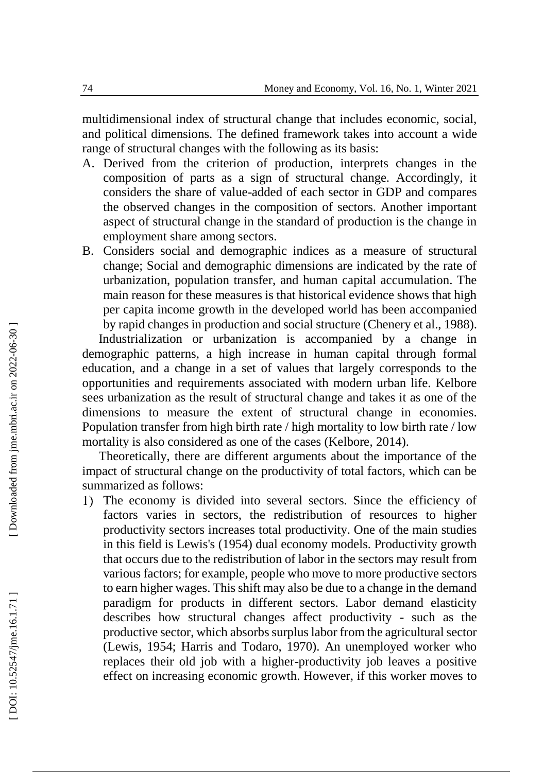multidimensional index of structural change that includes economic, social, and political dimensions. The defined framework takes into account a wide range of structural changes with the following as its basis:

- A. Derived from the criterion of production, interprets changes in the composition of parts as a sign of structural change. Accordingly, it considers the share of value -added of each sector in GDP and compares the observed changes in the composition of sectors. Another important aspect of structural change in the standard of production is the change in employment share among sectors.
- B. Considers social and demographic indices as a measure of structural change; Social and demographic dimensions are indicated by the rate of urbanization, population transfer, and human capital accumulation. The main reason for these measures is that historical evidence shows that high per capita income growth in the developed world has been accompanied by rapid changes in production and social structure (Chenery et al., 1988).

Industrialization or urbanization is accompanied by a change in demographic patterns, a high increase in human capital through formal education, and a change in a set of values that largely corresponds to the opportunities and requirements associated with modern urban life. Kelbore sees urbanization as the result of structural change and takes it as one of the dimensions to measure the extent of structural change in economies. Population transfer from high birth rate / high mortality to low birth rate / low mortality is also considered as one of the cases (Kelbore, 2014).

Theoretically, there are different arguments about the importance of the impact of structural change on the productivity of total factors, which can be summarized as follows:

1) The economy is divided into several sectors. Since the efficiency of factors varies in sectors, the redistribution of resources to higher productivity sectors increases total productivity. One of the main studies in this field is Lewis's (1954) dual economy models. Productivity growth that occurs due to the redistribution of labor in the sectors may result from various factors; for example, people who move to more productive sectors to earn higher wages. This shift may also be due to a change in the demand paradigm for products in different sectors. Labor demand elasticity describes how structural changes affect productivity - such as the productive sector, which absorbs surplus labor from the agricultural sector (Lewis, 1954; Harris and Todaro, 1970). An unemployed worker who replaces their old job with a higher -productivity job leaves a positive effect on increasing economic growth. However, if this worker moves to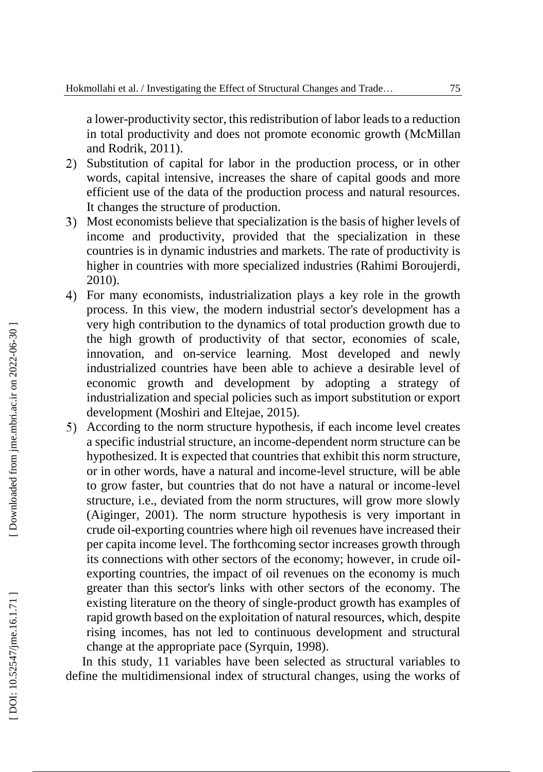a lower -productivity sector, this redistribution of labor leads to a reduction in total productivity and does not promote economic growth (McMillan and Rodrik, 2011).

- 2) Substitution of capital for labor in the production process, or in other words, capita l intensive, increases the share of capital goods and more efficient use of the data of the production process and natural resources. It changes the structure of production.
- Most economists believe that specialization is the basis of higher levels of income and productivity, provided that the specialization in these countries is in dynamic industries and markets. The rate of productivity is higher in countries with more specialized industries (Rahimi Boroujerdi, 2010).
- For many economists, industrialization plays a key role in the growth process. In this view, the modern industrial sector's development has a very high contribution to the dynamics of total production growth due to the high growth of productivity of that sector, economies of scale, innovation, and on -service learning. Most developed and newly industrialized countries have been able to achieve a desirable level of economic growth and development by adopting a strategy of industrialization and special policies such as import substitution or export development (Moshiri and Eltejae, 2015).
- According to the norm structure hypothesis, if each income level creates a specific industrial structure, an income -dependent norm structure can be hypothesized. It is expected that countries that exhibit this norm structure, or in other words, have a natural and income -level structure, will be able to grow faster, but countries that do not have a natural or income -level structure, i.e., deviated from the norm structures, will grow more slowly (Aiginger, 2001). The norm structure hypothesis is very important in crude oil -exporting countries where high oil revenues have increased their per capita income level. The forthcoming sector increases growth through its connections with other sectors of the economy; however, in crude oil exporting countries, the impact of oil revenues on the economy is much greater than this sector's links with other sectors of the economy. The existing literature on the theory of single -product growth has examples of rapid growth based on the exploitation of natural resources, which, despite rising incomes, has not led to continuous development and structural change at the appropriate pace (Syrquin, 1998).

In this study, 11 variables have been selected as structural variables to define the multidimensional index of structural changes, using the works of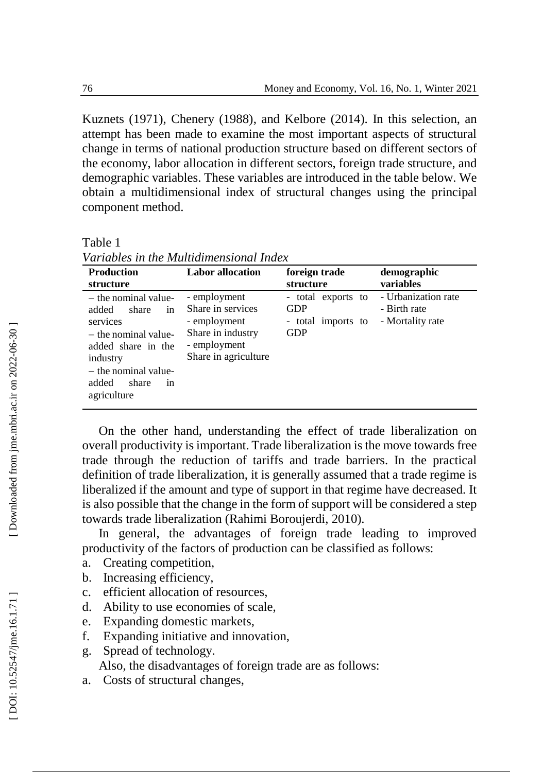**demographic** 

Kuznets (1971), Chenery (1988), and Kelbore (2014). In this selection, an attempt has been made to examine the most important aspects of structural change in terms of national production structure based on different sectors of the economy, labor allocation in different sectors, foreign trade structure, and demographic variables. These variables are introduced in the table below. We obtain a multidimensional index of structural changes using the principal component method.

Table 1

| , wi iwiu iwu ili iliw 1.1 iyo iyo iyo iliwaan a liwaati |                         |                   |  |
|----------------------------------------------------------|-------------------------|-------------------|--|
| Production                                               | <b>Labor</b> allocation | foreign trade     |  |
| structure                                                |                         | structure         |  |
| - the nominal value-                                     | - employment            | - total exports t |  |

*Variables in the Multidimensional Index*

| structure            |                      | structure          | variables           |
|----------------------|----------------------|--------------------|---------------------|
| - the nominal value- | - employment         | - total exports to | - Urbanization rate |
| in<br>added<br>share | Share in services    | <b>GDP</b>         | - Birth rate        |
| services             | - employment         | - total imports to | - Mortality rate    |
| - the nominal value- | Share in industry    | <b>GDP</b>         |                     |
| added share in the   | - employment         |                    |                     |
| industry             | Share in agriculture |                    |                     |
| - the nominal value- |                      |                    |                     |
| added<br>share<br>1n |                      |                    |                     |
| agriculture          |                      |                    |                     |
|                      |                      |                    |                     |

On the other hand, understanding the effect of trade liberalization on overall productivity is important. Trade liberalization is the move towards free trade through the reduction of tariffs and trade barriers. In the practical definition of trade liberalization, it is generally assumed that a trade regime is liberalized if the amount and type of support in that regime have decreased. It is also possible that the change in the form of support will be considered a step towards trade liberalization (Rahimi Boroujerdi, 2010).

In general, the advantages of foreign trade leading to improved productivity of the factors of production can be classified as follows:

- a. Creating competition,
- b. Increasing efficiency,
- c. efficient allocation of resources,
- d. Ability to use economies of scale,
- e. Expanding domestic markets,
- f. Expanding initiative and innovation,
- g. Spread of technology.

Also, the disadvantages of foreign trade are as follows:

a. Costs of structural changes,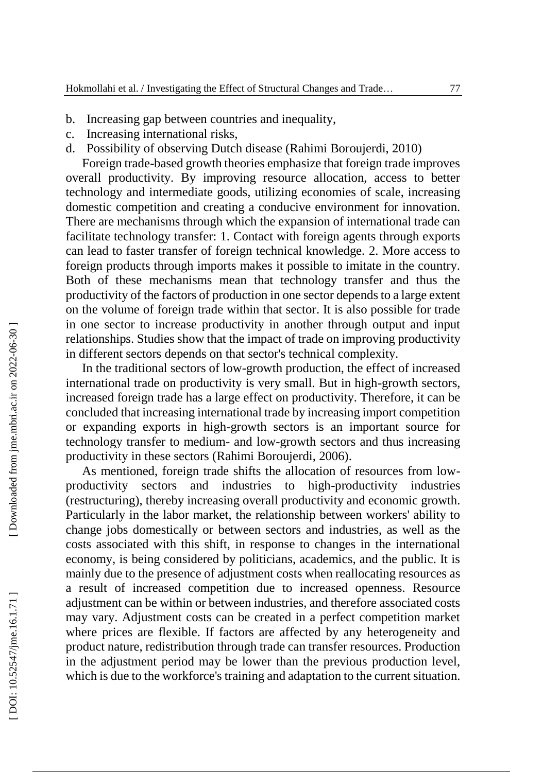- b. Increasing gap between countries and inequality,
- c. Increasing international risks,
- d. Possibility of observing Dutch disease (Rahimi Boroujerdi, 2010)

Foreign trade -based growth theories emphasize that foreign trade improves overall productivity. By improving resource allocation, access to better technology and intermediate goods, utilizing economies of scale, increasing domestic competition and creating a conducive environment for innovation. There are mechanisms through which the expansion of international trade can facilitate technology transfer: 1. Contact with foreign agents through exports can lead to faster transfer of foreign technical knowledge. 2. More access to foreign products through imports makes it possible to imitate in the country. Both of these mechanisms mean that technology transfer and thus the productivity of the factors of production in one sector depends to a large extent on the volume of foreign trade within that sector. It is also possible for trade in one sector to increase productivity in another through output and input relationships. Studies show that the impact of trade on improving productivity in different sectors depends on that sector's technical complexity.

In the traditional sectors of low -growth production, the effect of increased international trade on productivity is very small. But in high -growth sectors, increased foreign trade has a large effect on productivity. Therefore, it can be concluded that increasing international trade by increasing import competition or expanding exports in high -growth sectors is an important source for technology transfer to medium - and low -growth sectors and thus increasing productivity in these sectors (Rahimi Boroujerdi, 2006).

As mentioned, foreign trade shifts the allocation of resources from low productivity sectors and industries to high -productivity industries (restructuring), thereby increasing overall productivity and economic growth. Particularly in the labor market, the relationship between workers' ability to change jobs domestically or between sectors and industries, as well as the costs associated with this shift, in response to changes in the international economy, is being considered by politicians, academics, and the public. It is mainly due to the presence of adjustment costs when reallocating resources as a result of increased competition due to increased openness. Resource adjustment can be within or between industries, and therefore associated costs may vary. Adjustment costs can be created in a perfect competition market where prices are flexible. If factors are affected by any heterogeneity and product nature, redistribution through trade can transfer resources. Production in the adjustment period may be lower than the previous production level, which is due to the workforce's training and adaptation to the current situation.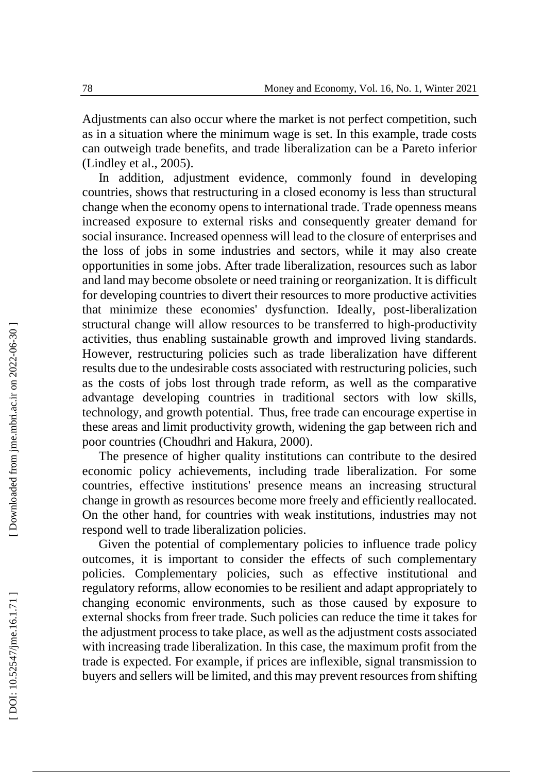Adjustments can also occur where the market is not perfect competition, such as in a situation where the minimum wage is set. In this example, trade costs can outweigh trade benefits, and trade liberalization can be a Pareto inferior (Lindley et al., 2005).

In addition, adjustment evidence, commonly found in developing countries, shows that restructuring in a closed economy is less than structural change when the economy opens to international trade. Trade openness means increased exposure to external risks and consequently greater demand for social insurance. Increased openness will lead to the closure of enterprises and the loss of jobs in some industries and sectors, while it may also create opportunities in some jobs. After trade liberalization, resources such as labor and land may become obsolete or need training or reorganization. It is difficult for developing countries to divert their resources to more productive activities that minimize these economies' dysfunction. Ideally, post -liberalization structural change will allow resources to be transferred to high -productivity activities, thus enabling sustainable growth and improved living standards. However, restructuring policies such as trade liberalization have different results due to the undesirable costs associated with restructuring policies, such as the costs of jobs lost through trade reform, as well as the comparative advantage developing countries in traditional sectors with low skills, technology, and growth potential. Thus, free trade can encourage expertise in these areas and limit productivity growth, widening the gap between rich and poor countries (Choudhri and Hakura, 2000).

The presence of higher quality institutions can contribute to the desired economic policy achievements, including trade liberalization. For some countries, effective institutions' presence means an increasing structural change in growth as resources become more freely and efficiently reallocated. On the other hand, for countries with weak institutions, industries may not respond well to trade liberalization policies.

Given the potential of complementary policies to influence trade policy outcomes, it is important to consider the effects of such complementary policies. Complementary policies, such as effective institutional and regulatory reforms, allow economies to be resilient and adapt appropriately to changing economic environments, such as those caused by exposure to external shocks from freer trade. Such policies can reduce the time it takes for the adjustment process to take place, as well as the adjustment costs associated with increasing trade liberalization. In this case, the maximum profit from the trade is expected. For example, if prices are inflexible, signal transmission to buyers and sellers will be limited, and this may prevent resources from shifting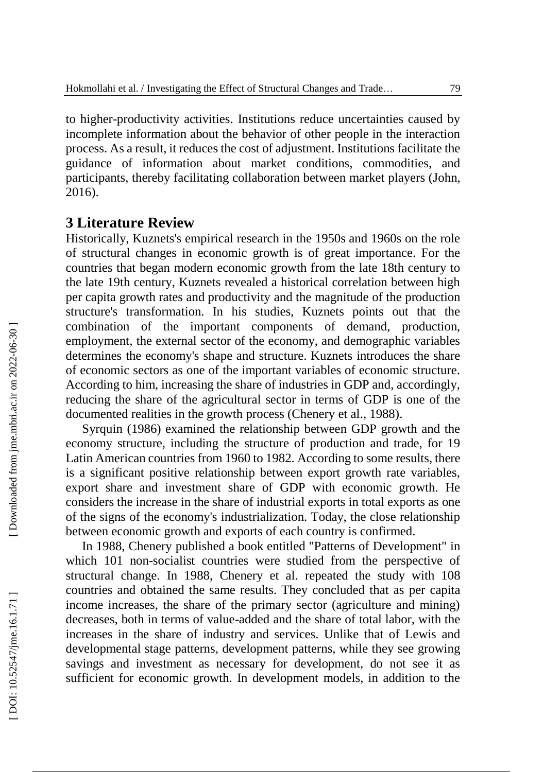to higher -productivity activities. Institutions reduce uncertainties caused by incomplete information about the behavior of other people in the interaction process. As a result, it reduces the cost of adjustment. Institutions facilitate the guidance of information about market conditions, commodities, and participants, thereby facilitating collaboration between market players (John, 2016).

# **3 Literature Review**

Historically, Kuznets's empirical research in the 1950s and 1960s on the role of structural changes in economic growth is of great importance. For the countries that began modern economic growth from the late 18th century to the late 19th century, Kuznets revealed a historical correlation between high per capita growth rates and productivity and the magnitude of the production structure's transformation. In his studies, Kuznets points out that the combination of the important components of demand, production, employment, the external sector of the economy, and demographic variables determines the economy's shape and structure. Kuznets introduces the share of economic sectors as one of the important variables of economic structure. According to him, increasing the share of industries in GDP and, accordingly, reducing the share of the agricultural sector in terms of GDP is one of the documented realities in the growth process (Chenery et al., 1988).

Syrquin (1986) examined the relationship between GDP growth and the economy structure, including the structure of production and trade, for 19 Latin American countries from 1960 to 1982. According to some results, there is a significant positive relationship between export growth rate variables, export share and investment share of GDP with economic growth. He considers the increase in the share of industrial exports in total exports as one of the signs of the economy's industrialization. Today, the close relationship between economic growth and exports of each country is confirmed.

In 1988, Chenery published a book entitled "Patterns of Development" in which 101 non -socialist countries were studied from the perspective of structural change. In 1988, Chenery et al. repeated the study with 108 countries and obtained the same results. They concluded that as per capita income increases, the share of the primary sector (agriculture and mining) decreases, both in terms of value -added and the share of total labor, with the increases in the share of industry and services. Unlike that of Lewis and developmental stage patterns, development patterns, while they see growing savings and investment as necessary for development, do not see it as sufficient for economic growth. In development models, in addition to the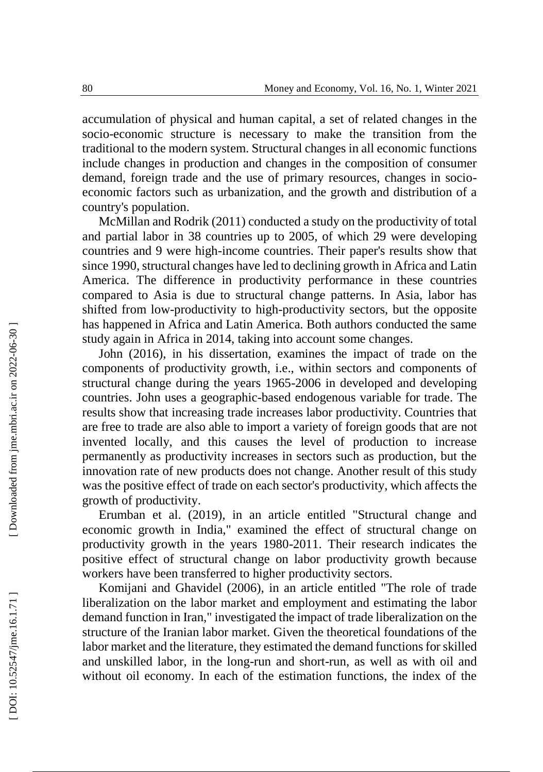accumulation of physical and human capital, a set of related changes in the socio -economic structure is necessary to make the transition from the traditional to the modern system. Structural changes in all economic functions include changes in production and changes in the composition of consumer demand, foreign trade and the use of primary resources, changes in socioeconomic factors such as urbanization, and the growth and distribution of a country's population.

McMillan and Rodrik (2011) conducted a study on the productivity of total and partial labor in 38 countries up to 2005, of which 29 were developing countries and 9 were high -income countries. Their paper's results show that since 1990, structural changes have led to declining growth in Africa and Latin America. The difference in productivity performance in these countries compared to Asia is due to structural change patterns. In Asia, labor has shifted from low -productivity to high -productivity sectors, but the opposite has happened in Africa and Latin America. Both authors conducted the same study again in Africa in 2014, taking into account some changes.

John (2016), in his dissertation, examines the impact of trade on the components of productivity growth, i.e., within sectors and components of structural change during the years 1965 -2006 in developed and developing countries. John uses a geographic -based endogenous variable for trade. The results show that increasing trade increases labor productivity. Countries that are free to trade are also able to import a variety of foreign goods that are not invented locally, and this causes the level of production to increase permanently as productivity increases in sectors such as production, but the innovation rate of new products does not change. Another result of this study was the positive effect of trade on each sector's productivity, which affects the growth of productivity.

Erumban et al. (2019), in an article entitled "Structural change and economic growth in India," examined the effect of structural change on productivity growth in the years 1980 -2011. Their research indicates the positive effect of structural change on labor productivity growth because workers have been transferred to higher productivity sectors.

Komijani and Ghavidel (2006), in an article entitled "The role of trade liberalization on the labor market and employment and estimating the labor demand function in Iran," investigated the impact of trade liberalization on the structure of the Iranian labor market. Given the theoretical foundations of the labor market and the literature, they estimated the demand functions for skilled and unskilled labor, in the long -run and short -run, as well as with oil and without oil economy. In each of the estimation functions, the index of the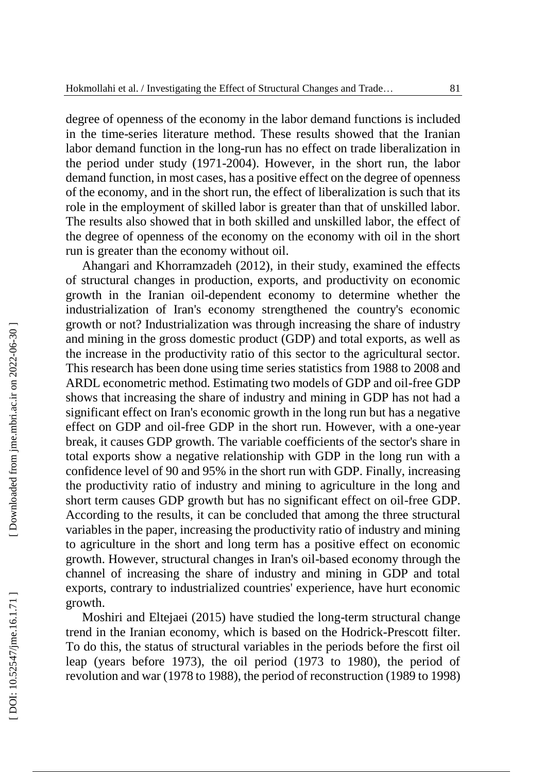degree of openness of the economy in the labor demand functions is included in the time -series literature method. These results showed that the Iranian labor demand function in the long -run has no effect on trade liberalization in the period under study (1971 -2004). However, in the short run, the labor demand function, in most cases, has a positive effect on the degree of openness of the economy, and in the short run, the effect of liberalization is such that its role in the employment of skilled labor is greater than that of unskilled labor. The results also showed that in both skilled and unskilled labor, the effect of the degree of openness of the economy on the economy with oil in the short run is greater than the economy without oil.

Ahangari and Khorramzadeh (2012), in their study, examined the effects of structural changes in production, exports, and productivity on economic growth in the Iranian oil -dependent economy to determine whether the industrialization of Iran's economy strengthened the country's economic growth or not? Industrialization was through increasing the share of industry and mining in the gross domestic product (GDP) and total exports, as well as the increase in the productivity ratio of this sector to the agricultural sector. This research has been done using time series statistics from 1988 to 2008 and ARDL econometric method. Estimating two models of GDP and oil -free GDP shows that increasing the share of industry and mining in GDP has not had a significant effect on Iran's economic growth in the long run but has a negative effect on GDP and oil -free GDP in the short run. However, with a one -year break, it causes GDP growth. The variable coefficients of the sector's share in total exports show a negative relationship with GDP in the long run with a confidence level of 90 and 95% in the short run with GDP. Finally, increasing the productivity ratio of industry and mining to agriculture in the long and short term causes GDP growth but has no significant effect on oil -free GDP. According to the results, it can be concluded that among the three structural variables in the paper, increasing the productivity ratio of industry and mining to agriculture in the short and long term has a positive effect on economic growth. However, structural changes in Iran's oil -based economy through the channel of increasing the share of industry and mining in GDP and total exports, contrary to industrialized countries' experience, have hurt economic growth.

Moshiri and Eltejaei (2015) have studied the long -term structural change trend in the Iranian economy, which is based on the Hodrick -Prescott filter. To do this, the status of structural variables in the periods before the first oil leap (years before 1973), the oil period (1973 to 1980), the period of revolution and war (1978 to 1988), the period of reconstruction (1989 to 1998)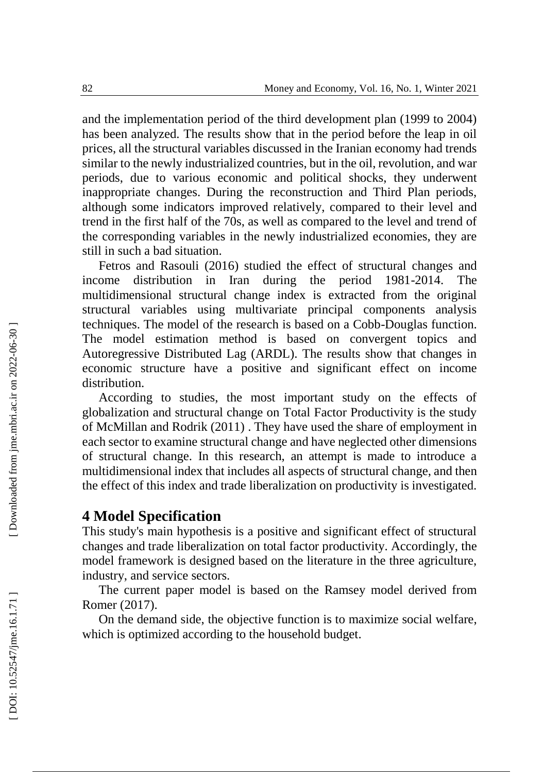and the implementation period of the third development plan (1999 to 2004) has been analyzed. The results show that in the period before the leap in oil prices, all the structural variables discussed in the Iranian economy had trends similar to the newly industrialized countries, but in the oil, revolution, and war periods, due to various economic and political shocks, they underwent inappropriate changes. During the reconstruction and Third Plan periods, although some indicators improved relatively, compared to their level and trend in the first half of the 70s, as well as compared to the level and trend of the corresponding variables in the newly industrialized economies, they are still in such a bad situation.

Fetros and Rasouli (2016) studied the effect of structural changes and income distribution in Iran during the period 1981 -2014. The multidimensional structural change index is extracted from the original structural variables using multivariate principal components analysis techniques. The model of the research is based on a Cobb -Douglas function. The model estimation method is based on convergent topics and Autoregressive Distributed Lag (ARDL). The results show that changes in economic structure have a positive and significant effect on income distribution.

According to studies, the most important study on the effects of globalization and structural change on Total Factor Productivity is the study of McMillan and Rodrik (2011) . They have used the share of employment in each sector to examine structural change and have neglected other dimensions of structural change. In this research, an attempt is made to introduce a multidimensional index that includes all aspects of structural change, and then the effect of this index and trade liberalization on productivity is investigated.

# **4 Model Specification**

This study's main hypothesis is a positive and significant effect of structural changes and trade liberalization on total factor productivity. Accordingly, the model framework is designed based on the literature in the three agriculture, industry, and service sectors.

The current paper model is based on the Ramsey model derived from Romer (2017).

On the demand side, the objective function is to maximize social welfare, which is optimized according to the household budget.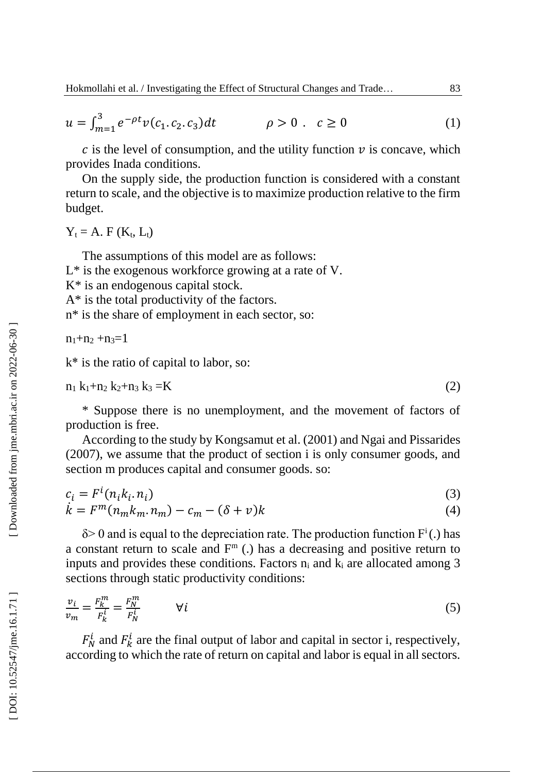$$
u = \int_{m=1}^{3} e^{-\rho t} v(c_1, c_2, c_3) dt \qquad \rho > 0 \qquad c \ge 0
$$
 (1)

 $c$  is the level of consumption, and the utility function  $\nu$  is concave, which provides Inada conditions.

On the supply side, the production function is considered with a constant return to scale, and the objective is to maximize production relative to the firm budget.

 $Y_t = A$ . F ( $K_t$ , L<sub>t</sub>)

The assumptions of this model are as follows:

L\* is the exogenous workforce growing at a rate of V.

K\* is an endogenous capital stock.

A\* is the total productivity of the factors.

n\* is the share of employment in each sector, so:

 $n_1+n_2+n_3=1$ 

k\* is the ratio of capital to labor, so:

$$
n_1 k_1 + n_2 k_2 + n_3 k_3 = K \tag{2}
$$

\* Suppose there is no unemployment, and the movement of factors of production is free.

According to the study by K ongsamut et al. (2001) and Ngai and Pissarides (2007), we assume that the product of section i is only consumer goods, and section m produces capital and consumer goods. so:

$$
c_i = F^i(n_i k_i, n_i)
$$
  
\n
$$
\dot{k} = F^m(n_m k_m, n_m) - c_m - (\delta + v)k
$$
\n(3)

$$
k = F^m(n_m k_m n_m) - c_m - (\delta + v)k \tag{4}
$$

 $\delta$  > 0 and is equal to the depreciation rate. The production function  $F^i$ .) has a constant return to scale and  $F<sup>m</sup>$  (.) has a decreasing and positive return to inputs and provides these conditions. Factors  $n_i$  and  $k_i$  are allocated among 3 sections through static productivity conditions:

$$
\frac{v_i}{v_m} = \frac{F_k^m}{F_k^i} = \frac{F_N^m}{F_N^i} \qquad \forall i
$$
\n<sup>(5)</sup>

 $F_N^i$  and  $F_k^i$  are the final output of labor and capital in sector i, respectively, according to which the rate of return on capital and labor is equal in all sectors.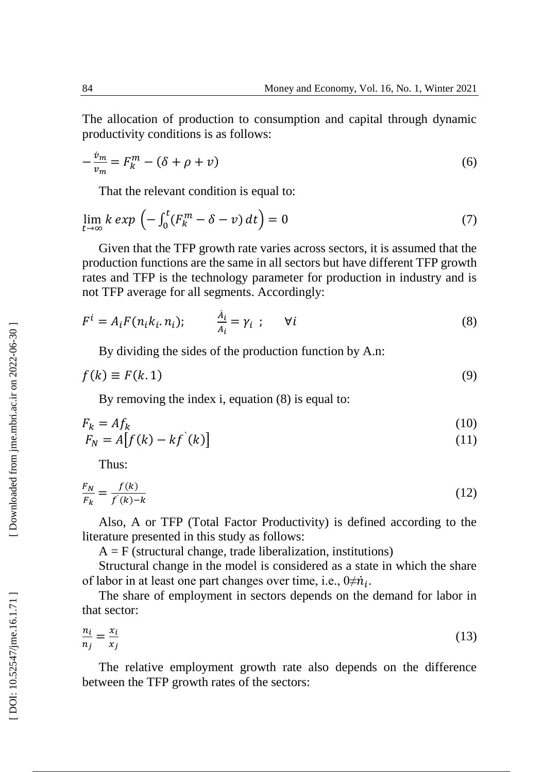The allocation of production to consumption and capital through dynamic productivity conditions is as follows:

$$
-\frac{\dot{v}_m}{v_m} = F_k^m - (\delta + \rho + v) \tag{6}
$$

That the relevant condition is equal to:

$$
\lim_{t \to \infty} k \exp \left( - \int_0^t (F_k^m - \delta - v) \, dt \right) = 0 \tag{7}
$$

Given that the TFP growth rate varies across sectors, it is assumed that the production functions are the same in all sectors but have different TFP growth rates and TFP is the technology parameter for production in industry and is not TFP average for all segments. Accordingly:

$$
F^{i} = A_{i} F(n_{i} k_{i} . n_{i}); \qquad \frac{A_{i}}{A_{i}} = \gamma_{i} ; \qquad \forall i
$$
\n(8)

By dividing the sides of the production function by A.n:

$$
f(k) \equiv F(k.1) \tag{9}
$$

By removing the index i, equation (8) is equal to:

$$
F_k = Af_k
$$
  
\n
$$
F_N = A[f(k) - kf(k)]
$$
\n(10)

Thus:

$$
\frac{F_N}{F_k} = \frac{f(k)}{f(k) - k} \tag{12}
$$

Also, A or TFP (Total Factor Productivity) is defined according to the literature presented in this study as follows:

 $A = F$  (structural change, trade liberalization, institutions)

Structural change in the model is considered as a state in which the share of labor in at least one part changes over time, i.e.,  $0 \neq \dot{n}_i$ .

The share of employment in sectors depends on the demand for labor in that sector:

$$
\frac{n_i}{n_j} = \frac{x_i}{x_j} \tag{13}
$$

The relative employment growth rate also depends on the difference between the TFP growth rates of the sectors:

Downloaded from jme.mbri.ac.ir on 2022-06-30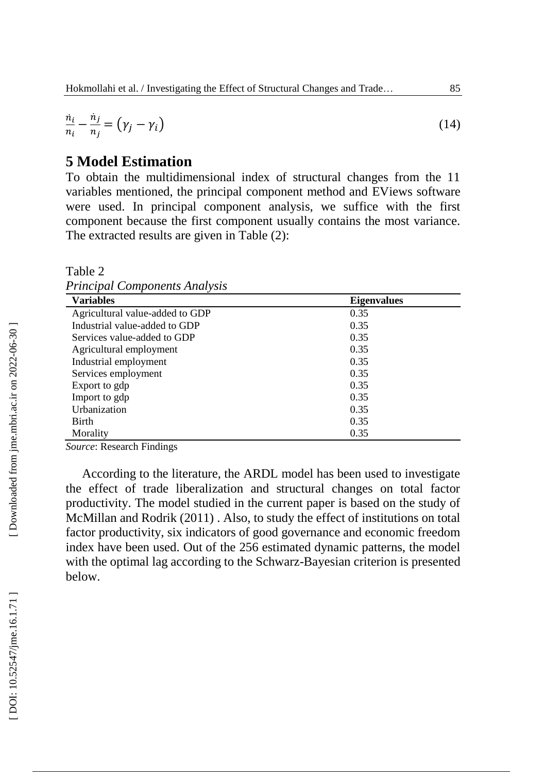$$
\frac{n_i}{n_i} - \frac{n_j}{n_j} = (\gamma_j - \gamma_i) \tag{14}
$$

## **5 Model Estimation**

To obtain the multidimensional index of structural changes from the 11 variables mentioned, the principal component method and EViews software were used. In principal component analysis, we suffice with the first component because the first component usually contains the most variance. The extracted results are given in Table ( 2):

Table 2 *Principal Components Analysis*

| <b>Variables</b>                | <b>Eigenvalues</b> |
|---------------------------------|--------------------|
| Agricultural value-added to GDP | 0.35               |
| Industrial value-added to GDP   | 0.35               |
| Services value-added to GDP     | 0.35               |
| Agricultural employment         | 0.35               |
| Industrial employment           | 0.35               |
| Services employment             | 0.35               |
| Export to gdp                   | 0.35               |
| Import to gdp                   | 0.35               |
| Urbanization                    | 0.35               |
| Birth                           | 0.35               |
| Morality                        | 0.35               |

*Source*: Research Findings

According to the literature, the ARDL model has been used to investigate the effect of trade liberalization and structural changes on total factor productivity. The model studied in the current paper is based on the study of McMillan and Rodrik (2011) . Also, to study the effect of institutions on total factor productivity, six indicators of good governance and economic freedom index have been used. Out of the 256 estimated dynamic patterns, the model with the optimal lag according to the Schwarz -Bayesian criterion is presented below.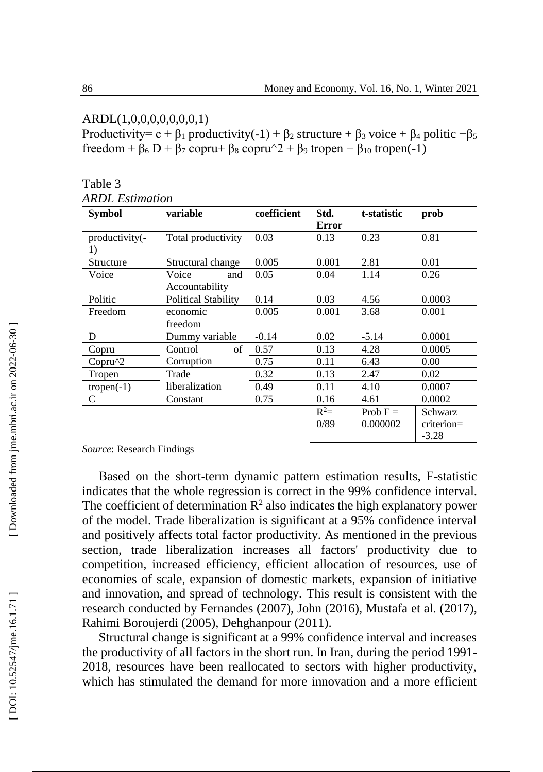#### ARDL(1,0,0,0,0,0,0,0,1)

Productivity=  $c + \beta_1$  productivity(-1) +  $\beta_2$  structure +  $\beta_3$  voice +  $\beta_4$  politic + $\beta_5$ freedom + β<sub>6</sub> D + β<sub>7</sub> copru+ β<sub>8</sub> copru^2 + β<sub>9</sub> tropen + β<sub>10</sub> tropen(-1)

| <b>Symbol</b>        | variable                   | coefficient | Std.   | t-statistic | prob          |
|----------------------|----------------------------|-------------|--------|-------------|---------------|
|                      |                            |             | Error  |             |               |
| productivity(-<br>1) | Total productivity         | 0.03        | 0.13   | 0.23        | 0.81          |
| Structure            | Structural change          | 0.005       | 0.001  | 2.81        | 0.01          |
| Voice                | Voice<br>and               | 0.05        | 0.04   | 1.14        | 0.26          |
|                      | Accountability             |             |        |             |               |
| Politic              | <b>Political Stability</b> | 0.14        | 0.03   | 4.56        | 0.0003        |
| Freedom              | economic                   | 0.005       | 0.001  | 3.68        | 0.001         |
|                      | freedom                    |             |        |             |               |
| D                    | Dummy variable             | $-0.14$     | 0.02   | $-5.14$     | 0.0001        |
| Copru                | of<br>Control              | 0.57        | 0.13   | 4.28        | 0.0005        |
| $Copru^2$            | Corruption                 | 0.75        | 0.11   | 6.43        | 0.00          |
| Tropen               | Trade                      | 0.32        | 0.13   | 2.47        | 0.02          |
| $tropen(-1)$         | liberalization             | 0.49        | 0.11   | 4.10        | 0.0007        |
| C                    | Constant                   | 0.75        | 0.16   | 4.61        | 0.0002        |
|                      |                            |             | $R^2=$ | Prob $F =$  | Schwarz       |
|                      |                            |             | 0/89   | 0.000002    | $criterion =$ |
|                      |                            |             |        |             | $-3.28$       |

| Table 3 |                 |
|---------|-----------------|
|         | ARDL Estimation |

*Source*: Research Findings

Based on the short -term dynamic pattern estimation results, F -statistic indicates that the whole regression is correct in the 99% confidence interval. The coefficient of determination  $\mathbb{R}^2$  also indicates the high explanatory power of the model. Trade liberalization is significant at a 95% confidence interval and positively affects total factor productivity. As mentioned in the previous section, trade liberalization increases all factors' productivity due to competition, increased efficiency, efficient allocation of resources, use of economies of scale, expansion of domestic markets, expansion of initiative and innovation, and spread of technology. This result is consistent with the research conducted by Fernandes (2007), John (2016), Mustafa et al. (2017), Rahimi Boroujerdi (2005), Dehghanpour (2011).

Structural change is significant at a 99% confidence interval and increases the productivity of all factors in the short run. In Iran, during the period 1991 - 2018, resources have been reallocated to sectors with higher productivity, which has stimulated the demand for more innovation and a more efficient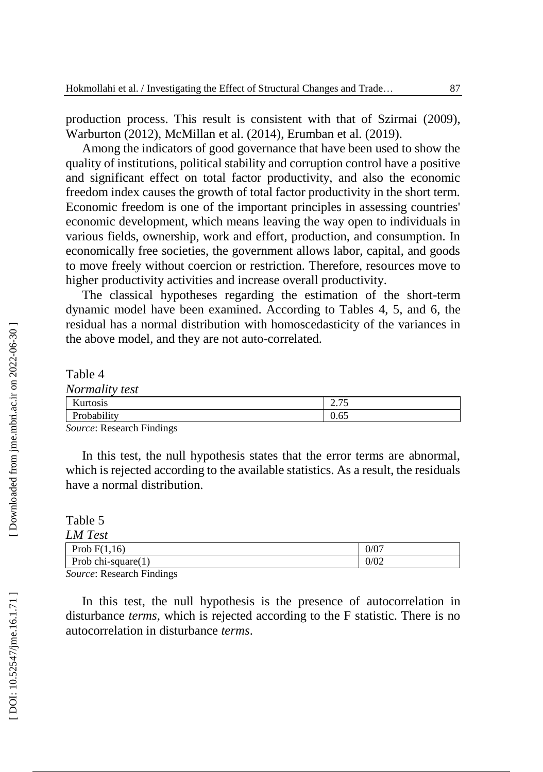production process. This result is consistent with that of S zirma i (2009), Warburton (2012), McMillan et al. (2014), Erumban et al. (2019).

Among the indicators of good governance that have been used to show the quality of institutions, political stability and corruption control have a positive and significant effect on total factor productivity, and also the economic freedom index causes the growth of total factor productivity in the short term. Economic freedom is one of the important principles in assessing countries' economic development, which means leaving the way open to individuals in various fields, ownership, work and effort, production, and consumption. In economically free societies, the government allows labor, capital, and goods to move freely without coercion or restriction. Therefore, resources move to higher productivity activities and increase overall productivity.

The classical hypotheses regarding the estimation of the short -term dynamic model have been examined. According to Tables 4, 5, and 6, the residual has a normal distribution with homoscedasticity of the variances in the above model, and they are not auto -correlated.

Table 4 *Normality test* Kurtosis 2.75 Probability 0.65

*Source*: Research Findings

In this test, the null hypothesis states that the error terms are abnormal, which is rejected according to the available statistics. As a result, the residuals have a normal distribution.

Table 5 *LM Test* Prob  $F(1,16)$  0/07 Prob chi-square $(1)$  0/02

*Source*: Research Findings

In this test, the null hypothesis is the presence of autocorrelation in disturbance *terms*, which is rejected according to the F statistic. There is no autocorrelation in disturbance *terms* .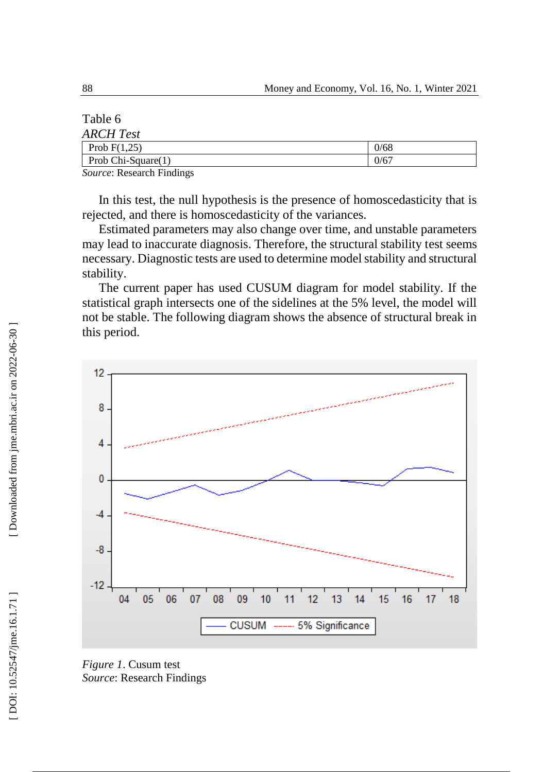| Table 6                                                                                                                                |      |
|----------------------------------------------------------------------------------------------------------------------------------------|------|
| <b>ARCH</b> Test                                                                                                                       |      |
| Prob $F(1,25)$                                                                                                                         | 0/68 |
| Prob $Chi-Square(1)$                                                                                                                   | 0/67 |
| $-1$ $-1$<br>the contract of the contract of the contract of the contract of the contract of the contract of the contract of<br>$\sim$ |      |

*Source*: Research Findings

In this test, the null hypothesis is the presence of homoscedasticity that is rejected, and there is homoscedasticity of the variances.

Estimated parameters may also change over time, and unstable parameters may lead to inaccurate diagnosis. Therefore, the structural stability test seems necessary. Diagnostic tests are used to determine model stability and structural stability.

The current paper has used CUSUM diagram for model stability. If the statistical graph intersects one of the sidelines at the 5% level, the model will not be stable. The following diagram shows the absence of structural break in this period.



*Figure 1*. Cusum test *Source*: Research Findings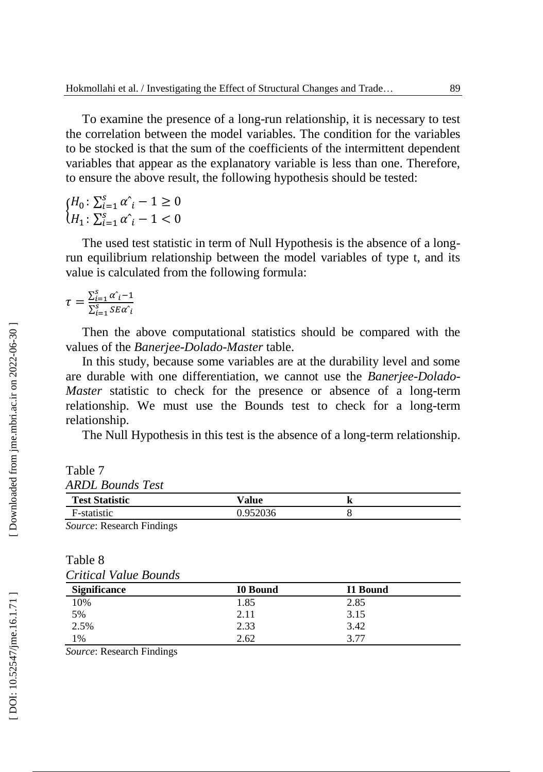To examine the presence of a long -run relationship, it is necessary to test the correlation between the model variables. The condition for the variables to be stocked is that the sum of the coefficients of the intermittent dependent variables that appear as the explanatory variable is less than one. Therefore, to ensure the above result, the following hypothesis should be tested:

 ${H_0 : \sum_{i=1}^{S} \alpha_i - 1 \ge 0 \ H_1 : \sum_{i=1}^{S} \alpha_i - 1 < 0}$ 

The used test statistic in term of Null Hypothesis is the absence of a long run equilibrium relationship between the model variables of type t, and its value is calculated from the following formula:

$$
\tau = \frac{\sum_{i=1}^{S} \alpha_i - 1}{\sum_{i=1}^{S} SE\alpha_i}
$$

Then the above computational statistics should be compared with the values of the *Banerjee* -*Dolado* -*Master* table.

In this study, because some variables are at the durability level and some are durable with one differentiation, we cannot use the *Banerjee* -*Dolado* - Master statistic to check for the presence or absence of a long-term relationship. We must use the Bounds test to check for a long -term relationship.

The Null Hypothesis in this test is the absence of a long -term relationship.

Table 7 *ARDL Bounds Test*

| <b>Test Statistic</b> | $v$ alue | A |  |
|-----------------------|----------|---|--|
| F-statistic           | .952036  |   |  |
|                       |          |   |  |

*Source*: Research Findings

| Table 8               |  |
|-----------------------|--|
| Critical Value Bounds |  |

| <b>Significance</b> | <b>I0 Bound</b> | I1 Bound |  |
|---------------------|-----------------|----------|--|
| 10%                 | 1.85            | 2.85     |  |
| 5%                  | 2.11            | 3.15     |  |
| 2.5%                | 2.33            | 3.42     |  |
| $1\%$               | 2.62            | 3 77     |  |

*Source*: Research Findings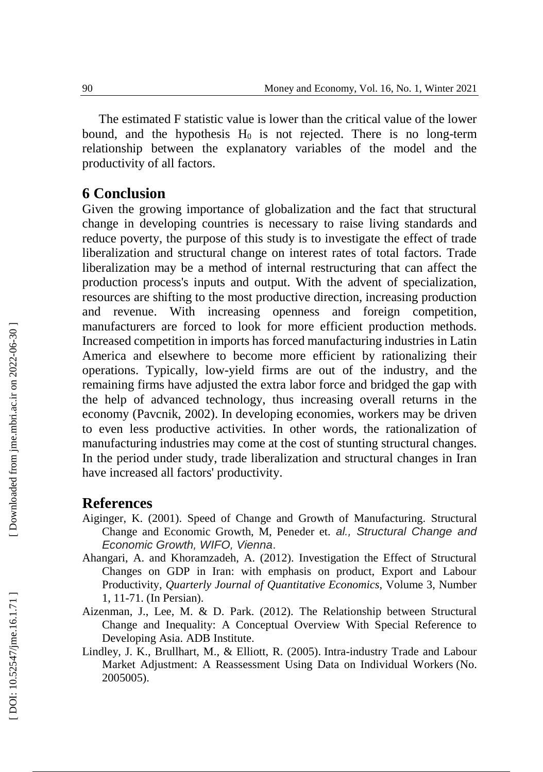The estimated F statistic value is lower than the critical value of the lower bound, and the hypothesis  $H_0$  is not rejected. There is no long-term relationship between the explanatory variables of the model and the productivity of all factors.

## **6 Conclusion**

Given the growing importance of globalization and the fact that structural change in developing countries is necessary to raise living standards and reduce poverty, the purpose of this study is to investigate the effect of trade liberalization and structural change on interest rates of total factors. Trade liberalization may be a method of internal restructuring that can affect the production process's inputs and output. With the advent of specialization, resources are shifting to the most productive direction, increasing production and revenue. With increasing openness and foreign competition, manufacturers are forced to look for more efficient production methods. Increased competition in imports has forced manufacturing industries in Latin America and elsewhere to become more efficient by rationalizing their operations. Typically, low -yield firms are out of the industry, and the remaining firms have adjusted the extra labor force and bridged the gap with the help of advanced technology, thus increasing overall returns in the economy (Pavcnik, 2002). In developing economies, workers may be driven to even less productive activities. In other words, the rationalization of manufacturing industries may come at the cost of stunting structural changes. In the period under study, trade liberalization and structural changes in Iran have increased all factors' productivity.

#### **References**

- Aiginger, K. (2001). Speed of Change and Growth of Manufacturing. Structural Change and Economic Growth, M, Pen eder et. *al., Structural Change and Economic Growth, WIFO, Vienna* .
- Ahangari, A. and Khoramzadeh, A. (2012). [Investigation the Effect of Structural](https://jqe.scu.ac.ir/article_10588_db30ba940574606c7130adef5e63397f.pdf?lang=en)  [Changes on GDP in Iran: with emphasis on product, Export and Labour](https://jqe.scu.ac.ir/article_10588_db30ba940574606c7130adef5e63397f.pdf?lang=en)  [Productivity](https://jqe.scu.ac.ir/article_10588_db30ba940574606c7130adef5e63397f.pdf?lang=en) , *Quarterly Journal of Quantitative Economics*, Volume 3, Number 1, 11 -71. (In Persian).
- Aizenman, J., Lee, M. & D. Park. (2012). The Relationship between Structural Change and Inequality: A Conceptual Overview With Special Reference to Developing Asia . ADB Institute.
- Lindley, J. K., Brullhart, M., & Elliott, R. (2005). Intra -industry Trade and Labour Market Adjustment: A Reassessment Using Data on Individual Workers (No. 2005005).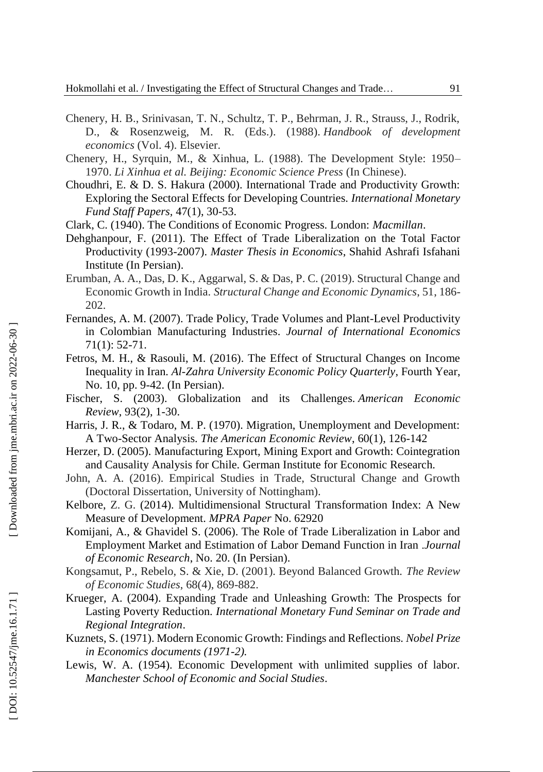- Chenery, H. B., Srinivasan, T. N., Schultz, T. P., Behrman, J. R., Strauss, J., Rodrik, D., & Rosenzweig, M. R. (Eds.). (1988). *Handbook of development economics* (Vol. 4). Elsevier.
- Chenery, H., Syrquin, M., & Xinhua, L. (1988). The Development Style: 1950 1970. *Li Xinhua et al. Beijing: Economic Science Press* (In Chinese).
- Choudhri, E. & D. S. Hakura (2000). International Trade and Productivity Growth: Exploring the Sectoral Effects for Developing Countries. *International Monetary Fund Staff Papers ,* 47(1), 30 -53.
- Clark, C. (1940 ). The Conditions of Economic Progress. London: *Macmillan* .
- Dehghanpour, F . (2011). The Effect of Trade Liberalization on the Total Factor Productivity (1993 -2007). *Master Thesis in Economics*, Shahid Ashrafi Isfahani Institute (In Persian).
- Erumban, A. A., Das, D. K., Aggarwal, S. & Das, P. C. (2019). Structural Change and Economic Growth in India. *Structural Change and Economic Dynamics*, 51, 186 - 202.
- Fernandes, A. M. (2007). Trade Policy, Trade Volumes and Plant -Level Productivity in Colombian Manufacturing Industries . *Journal of International Economics* 71(1): 52 -71.
- Fetros, M. H., & Rasouli, M. (2016) . The Effect of Structural Changes on Income Inequality in Iran. *Al -Zahra University Economic Policy Quarterly*, Fourth Year, No. 10, pp. 9 -42. (In Persian).
- Fischer, S. (2003). Globalization and its Challenges. *American Economic Review* , 93(2), 1 -30.
- Harris, J. R., & Todaro, M. P. (1970). Migration, Unemployment and Development: A Two -Sector Analysis. *The American Economic Review* , 60(1), 126 -142
- Herzer, D. (2005). Manufacturing Export, Mining Export and Growth: Cointegration and Causality Analysis for Chile. German Institute for Economic Research.
- John, A. A. (2016). Empirical Studies in Trade, Structural Change and Growth (Doctoral Dissertation, University of Nottingham).
- Kelbore, Z. G. (2014). Multidimensional Structural Transformation Index: A New Measure of Development. *MPRA Paper* No. 62920
- Komijani, A., & Ghavidel S. (2006) . The Role of Trade Liberalization in Labor and Employment Market and Estimation of Labor Demand Function in Iran .*Journal of Economic Research*, No. 20. (In Persian).
- Kongsamut, P., Rebelo, S. & Xie, D. (2001). Beyond Balanced Growth. *The Review of Economic Studies* , 68(4), 869 -882.
- Krueger, A. (2004). Expanding Trade and Unleashing Growth: The Prospects for Lasting Poverty Reduction. *International Monetary Fund Seminar on Trade and Regional Integration* .
- Kuznets, S. (1971). Modern Economic Growth: Findings and Reflections. *Nobel Prize in Economics documents (1971 -2).*
- Lewis, W. A. (1954). Economic Development with unlimited supplies of labor. *Manchester School of Economic and Social Studies* .